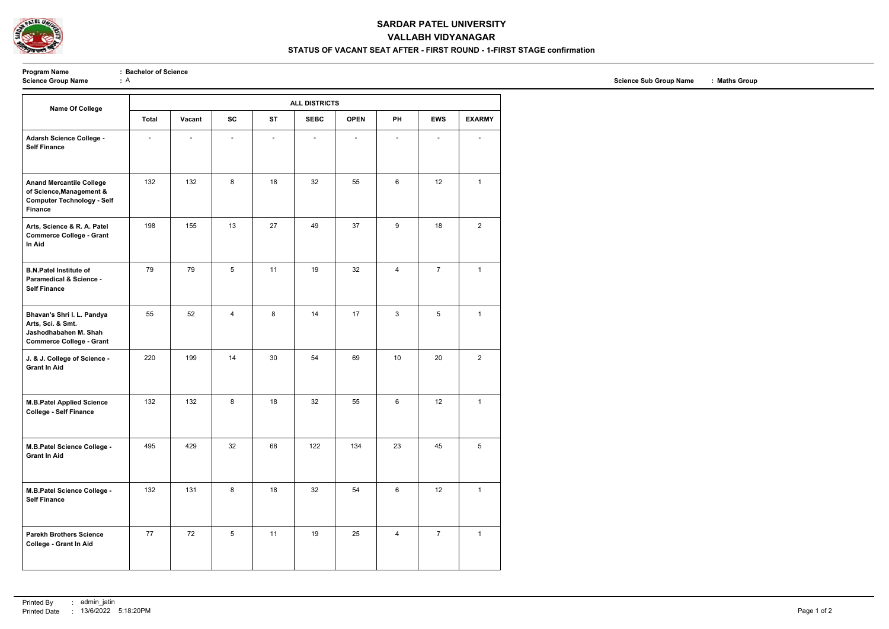

### **SARDAR PATEL UNIVERSITY**

## **VALLABH VIDYANAGAR**

#### **STATUS OF VACANT SEAT AFTER - FIRST ROUND - 1-FIRST STAGE confirmation**

**Program Name** : **Bachelor of Science**<br> **Science Group Name** : A

| <b>Name Of College</b>                                                                                             | <b>ALL DISTRICTS</b> |        |                 |                |                |             |                          |                          |                |  |
|--------------------------------------------------------------------------------------------------------------------|----------------------|--------|-----------------|----------------|----------------|-------------|--------------------------|--------------------------|----------------|--|
|                                                                                                                    | <b>Total</b>         | Vacant | <b>SC</b>       | <b>ST</b>      | <b>SEBC</b>    | <b>OPEN</b> | PH                       | <b>EWS</b>               | <b>EXARMY</b>  |  |
| Adarsh Science College -<br><b>Self Finance</b>                                                                    |                      |        |                 | $\blacksquare$ | $\overline{a}$ |             | $\overline{\phantom{a}}$ | $\overline{\phantom{0}}$ |                |  |
| <b>Anand Mercantile College</b><br>of Science, Management &<br><b>Computer Technology - Self</b><br><b>Finance</b> | 132                  | 132    | 8               | 18             | 32             | 55          | 6                        | 12                       | $\mathbf{1}$   |  |
| Arts, Science & R. A. Patel<br><b>Commerce College - Grant</b><br>In Aid                                           | 198                  | 155    | 13              | 27             | 49             | 37          | 9                        | 18                       | $\overline{2}$ |  |
| <b>B.N.Patel Institute of</b><br><b>Paramedical &amp; Science -</b><br><b>Self Finance</b>                         | 79                   | 79     | $5\phantom{.0}$ | 11             | 19             | 32          | 4                        | $\overline{7}$           | $\mathbf{1}$   |  |
| Bhavan's Shri I. L. Pandya<br>Arts, Sci. & Smt.<br>Jashodhabahen M. Shah<br><b>Commerce College - Grant</b>        | 55                   | 52     | $\overline{4}$  | 8              | 14             | 17          | $\mathfrak{S}$           | 5                        | $\mathbf{1}$   |  |
| J. & J. College of Science -<br><b>Grant In Aid</b>                                                                | 220                  | 199    | 14              | 30             | 54             | 69          | 10                       | 20                       | $\overline{2}$ |  |
| <b>M.B.Patel Applied Science</b><br><b>College - Self Finance</b>                                                  | 132                  | 132    | 8               | 18             | 32             | 55          | 6                        | 12                       | $\mathbf{1}$   |  |
| M.B.Patel Science College -<br><b>Grant In Aid</b>                                                                 | 495                  | 429    | 32              | 68             | 122            | 134         | 23                       | 45                       | 5              |  |
| M.B.Patel Science College -<br><b>Self Finance</b>                                                                 | 132                  | 131    | 8               | 18             | 32             | 54          | 6                        | 12                       | $\mathbf{1}$   |  |
| <b>Parekh Brothers Science</b><br><b>College - Grant In Aid</b>                                                    | 77                   | 72     | $5\phantom{.0}$ | 11             | 19             | 25          | $\overline{\mathbf{4}}$  | $\overline{7}$           | $\mathbf{1}$   |  |